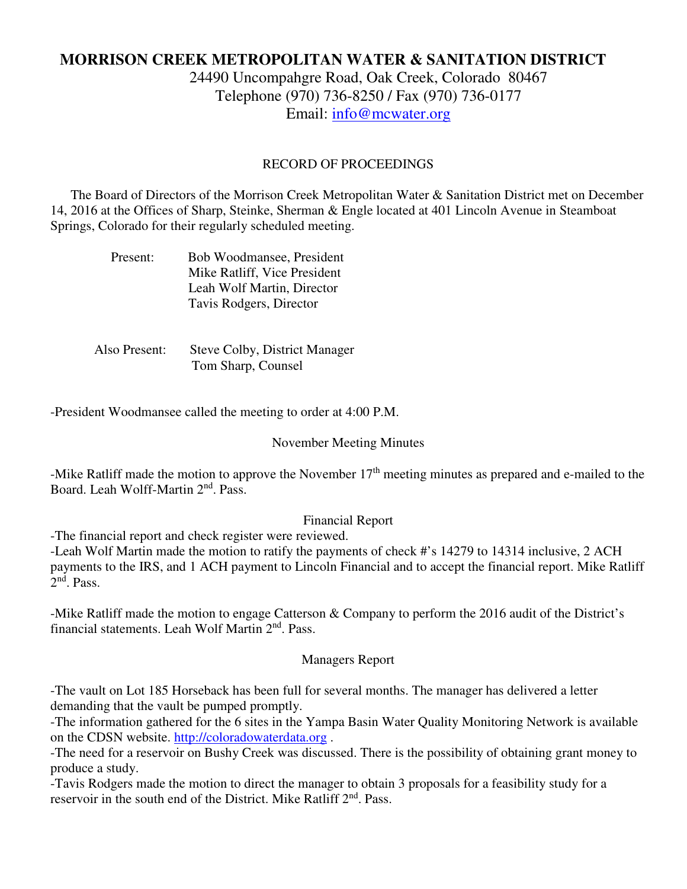# **MORRISON CREEK METROPOLITAN WATER & SANITATION DISTRICT**

24490 Uncompahgre Road, Oak Creek, Colorado 80467 Telephone (970) 736-8250 / Fax (970) 736-0177 Email: info@mcwater.org

## RECORD OF PROCEEDINGS

 The Board of Directors of the Morrison Creek Metropolitan Water & Sanitation District met on December 14, 2016 at the Offices of Sharp, Steinke, Sherman & Engle located at 401 Lincoln Avenue in Steamboat Springs, Colorado for their regularly scheduled meeting.

| Present: | Bob Woodmansee, President    |
|----------|------------------------------|
|          | Mike Ratliff, Vice President |
|          | Leah Wolf Martin, Director   |
|          | Tavis Rodgers, Director      |

 Also Present: Steve Colby, District Manager Tom Sharp, Counsel

-President Woodmansee called the meeting to order at 4:00 P.M.

#### November Meeting Minutes

-Mike Ratliff made the motion to approve the November 17<sup>th</sup> meeting minutes as prepared and e-mailed to the Board. Leah Wolff-Martin 2nd. Pass.

### Financial Report

-The financial report and check register were reviewed.

-Leah Wolf Martin made the motion to ratify the payments of check #'s 14279 to 14314 inclusive, 2 ACH payments to the IRS, and 1 ACH payment to Lincoln Financial and to accept the financial report. Mike Ratliff 2<sup>nd</sup>. Pass.

-Mike Ratliff made the motion to engage Catterson & Company to perform the 2016 audit of the District's financial statements. Leah Wolf Martin 2<sup>nd</sup>. Pass.

#### Managers Report

-The vault on Lot 185 Horseback has been full for several months. The manager has delivered a letter demanding that the vault be pumped promptly.

-The information gathered for the 6 sites in the Yampa Basin Water Quality Monitoring Network is available on the CDSN website. http://coloradowaterdata.org .

-The need for a reservoir on Bushy Creek was discussed. There is the possibility of obtaining grant money to produce a study.

-Tavis Rodgers made the motion to direct the manager to obtain 3 proposals for a feasibility study for a reservoir in the south end of the District. Mike Ratliff 2<sup>nd</sup>. Pass.